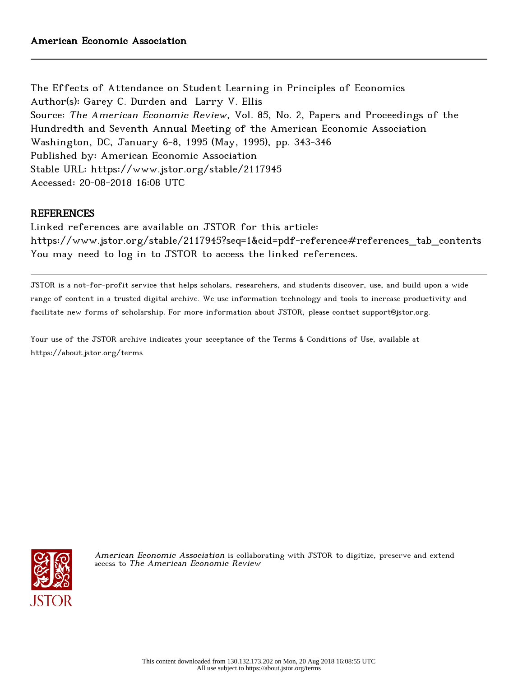The Effects of Attendance on Student Learning in Principles of Economics Author(s): Garey C. Durden and Larry V. Ellis Source: The American Economic Review, Vol. 85, No. 2, Papers and Proceedings of the Hundredth and Seventh Annual Meeting of the American Economic Association Washington, DC, January 6-8, 1995 (May, 1995), pp. 343-346 Published by: American Economic Association Stable URL: https://www.jstor.org/stable/2117945 Accessed: 20-08-2018 16:08 UTC

## **REFERENCES**

Linked references are available on JSTOR for this article: https://www.jstor.org/stable/2117945?seq=1&cid=pdf-reference#references\_tab\_contents You may need to log in to JSTOR to access the linked references.

JSTOR is a not-for-profit service that helps scholars, researchers, and students discover, use, and build upon a wide range of content in a trusted digital archive. We use information technology and tools to increase productivity and facilitate new forms of scholarship. For more information about JSTOR, please contact support@jstor.org.

Your use of the JSTOR archive indicates your acceptance of the Terms & Conditions of Use, available at https://about.jstor.org/terms



American Economic Association is collaborating with JSTOR to digitize, preserve and extend access to The American Economic Review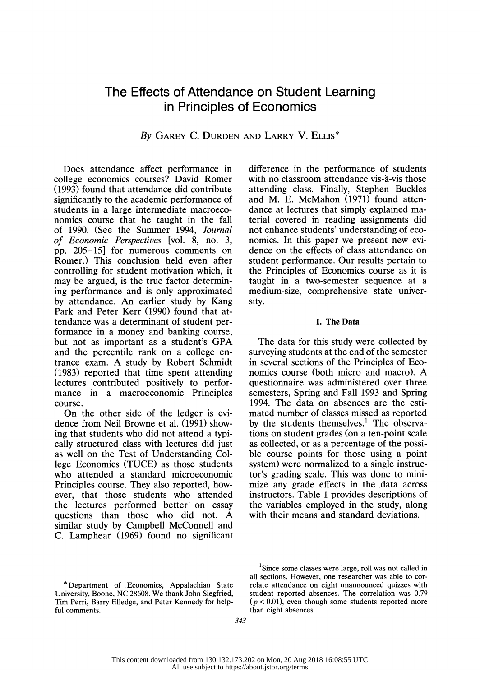# The Effects of Attendance on Student Learning in Principles of Economics

### By GAREY C. DURDEN AND LARRY V. ELLIS<sup>\*</sup>

 Does attendance affect performance in college economics courses? David Romer (1993) found that attendance did contribute significantly to the academic performance of students in a large intermediate macroeco nomics course that he taught in the fall of 1990. (See the Summer 1994, Journal of Economic Perspectives [vol. 8, no. 3, pp. 205-15] for numerous comments on Romer.) This conclusion held even after controlling for student motivation which, it may be argued, is the true factor determin ing performance and is only approximated by attendance. An earlier study by Kang Park and Peter Kerr (1990) found that at tendance was a determinant of student per formance in a money and banking course, but not as important as a student's GPA and the percentile rank on a college en trance exam. A study by Robert Schmidt (1983) reported that time spent attending lectures contributed positively to perfor mance in a macroeconomic Principles course.

 On the other side of the ledger is evi dence from Neil Browne et al. (1991) show ing that students who did not attend a typi cally structured class with lectures did just as well on the Test of Understanding Col lege Economics (TUCE) as those students who attended a standard microeconomic Principles course. They also reported, how ever, that those students who attended the lectures performed better on essay questions than those who did not. A similar study by Campbell McConnell and C. Lamphear (1969) found no significant  difference in the performance of students with no classroom attendance vis-à-vis those attending class. Finally, Stephen Buckles and M. E. McMahon (1971) found atten dance at lectures that simply explained ma terial covered in reading assignments did not enhance students' understanding of eco nomics. In this paper we present new evi dence on the effects of class attendance on student performance. Our results pertain to the Principles of Economics course as it is taught in a two-semester sequence at a medium-size, comprehensive state univer sity.

#### I. The Data

 The data for this study were collected by surveying students at the end of the semester in several sections of the Principles of Eco nomics course (both micro and macro). A questionnaire was administered over three semesters, Spring and Fall 1993 and Spring 1994. The data on absences are the esti mated number of classes missed as reported by the students themselves.<sup>1</sup> The observa tions on student grades (on a ten-point scale as collected, or as a percentage of the possi ble course points for those using a point system) were normalized to a single instruc tor's grading scale. This was done to mini mize any grade effects in the data across instructors. Table 1 provides descriptions of the variables employed in the study, along with their means and standard deviations.

 $1$ Since some classes were large, roll was not called in all sections. However, one researcher was able to cor relate attendance on eight unannounced quizzes with student reported absences. The correlation was 0.79  $(p < 0.01)$ , even though some students reported more than eight absences.

 <sup>\*</sup> Department of Economics, Appalachian State University, Boone, NC 28608. We thank John Siegfried, Tim Perri, Barry Elledge, and Peter Kennedy for help ful comments.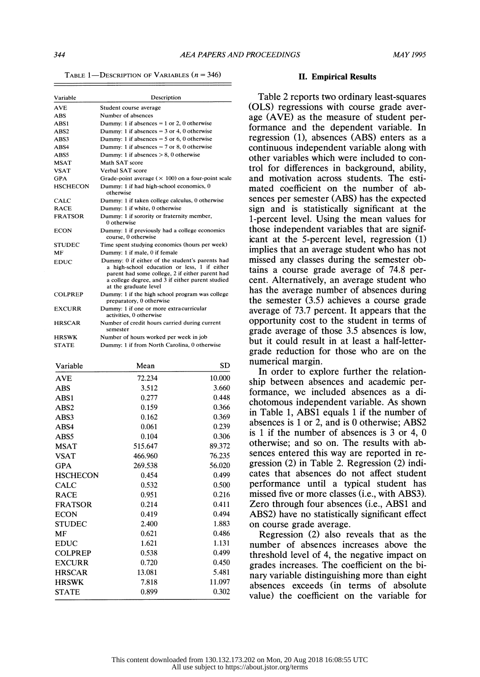TABLE 1-DESCRIPTION OF VARIABLES  $(n = 346)$ 

| Variable         | Description                                                                                                                                                                                                                     |  |  |
|------------------|---------------------------------------------------------------------------------------------------------------------------------------------------------------------------------------------------------------------------------|--|--|
| <b>AVE</b>       | Student course average                                                                                                                                                                                                          |  |  |
| ABS              | Number of absences                                                                                                                                                                                                              |  |  |
| ABS1             | Dummy: 1 if absences = $1$ or $2$ , 0 otherwise                                                                                                                                                                                 |  |  |
| ABS <sub>2</sub> | Dummy: 1 if absences = $3$ or 4, 0 otherwise                                                                                                                                                                                    |  |  |
| ABS3             | Dummy: 1 if absences $= 5$ or 6, 0 otherwise                                                                                                                                                                                    |  |  |
| ABS4             | Dummy: 1 if absences $= 7$ or 8, 0 otherwise                                                                                                                                                                                    |  |  |
| ABS5             | Dummy: 1 if absences $> 8$ , 0 otherwise                                                                                                                                                                                        |  |  |
| <b>MSAT</b>      | Math SAT score                                                                                                                                                                                                                  |  |  |
| <b>VSAT</b>      | Verbal SAT score                                                                                                                                                                                                                |  |  |
| <b>GPA</b>       | Grade-point average $(\times 100)$ on a four-point scale                                                                                                                                                                        |  |  |
| <b>HSCHECON</b>  | Dummy: 1 if had high-school economics, 0<br>otherwise                                                                                                                                                                           |  |  |
| CALC             | Dummy: 1 if taken college calculus, 0 otherwise                                                                                                                                                                                 |  |  |
| <b>RACE</b>      | Dummy: 1 if white, 0 otherwise                                                                                                                                                                                                  |  |  |
| <b>FRATSOR</b>   | Dummy: 1 if sorority or fraternity member,<br>0 otherwise                                                                                                                                                                       |  |  |
| <b>ECON</b>      | Dummy: 1 if previously had a college economics<br>course, 0 otherwise                                                                                                                                                           |  |  |
| <b>STUDEC</b>    | Time spent studving economics (hours per week)                                                                                                                                                                                  |  |  |
| MF               | Dummy: 1 if male, 0 if female                                                                                                                                                                                                   |  |  |
| <b>EDUC</b>      | Dummy: 0 if either of the student's parents had<br>a high-school education or less, 1 if either<br>parent had some college, 2 if either parent had<br>a college degree, and 3 if either parent studied<br>at the graduate level |  |  |
| <b>COLPREP</b>   | Dummy: 1 if the high school program was college<br>preparatory, 0 otherwise                                                                                                                                                     |  |  |
| <b>EXCURR</b>    | Dummy: 1 if one or more extracurricular<br>activities, 0 otherwise                                                                                                                                                              |  |  |
| <b>HRSCAR</b>    | Number of credit hours carried during current<br>semester                                                                                                                                                                       |  |  |
| <b>HRSWK</b>     | Number of hours worked per week in job                                                                                                                                                                                          |  |  |
| <b>STATE</b>     | Dummy: 1 if from North Carolina, 0 otherwise                                                                                                                                                                                    |  |  |

| Variable         | Mean    | SD     |  |
|------------------|---------|--------|--|
| <b>AVE</b>       | 72.234  | 10.000 |  |
| <b>ABS</b>       | 3.512   | 3.660  |  |
| ABS1             | 0.277   | 0.448  |  |
| ABS <sub>2</sub> | 0.159   | 0.366  |  |
| ABS3             | 0.162   | 0.369  |  |
| ABS4             | 0.061   | 0.239  |  |
| ABS5             | 0.104   | 0.306  |  |
| <b>MSAT</b>      | 515.647 | 89.372 |  |
| <b>VSAT</b>      | 466.960 | 76.235 |  |
| GPA              | 269.538 | 56.020 |  |
| <b>HSCHECON</b>  | 0.454   | 0.499  |  |
| <b>CALC</b>      | 0.532   | 0.500  |  |
| <b>RACE</b>      | 0.951   | 0.216  |  |
| <b>FRATSOR</b>   | 0.214   | 0.411  |  |
| <b>ECON</b>      | 0.419   | 0.494  |  |
| <b>STUDEC</b>    | 2.400   | 1.883  |  |
| MF               | 0.621   | 0.486  |  |
| <b>EDUC</b>      | 1.621   | 1.131  |  |
| <b>COLPREP</b>   | 0.538   | 0.499  |  |
| <b>EXCURR</b>    | 0.720   | 0.450  |  |
| <b>HRSCAR</b>    | 13.081  | 5.481  |  |
| <b>HRSWK</b>     | 7.818   | 11.097 |  |
| <b>STATE</b>     | 0.899   | 0.302  |  |

#### II. Empirical Results

 Table 2 reports two ordinary least-squares (OLS) regressions with course grade aver age (AVE) as the measure of student per formance and the dependent variable. In regression (1), absences (ABS) enters as a continuous independent variable along with other variables which were included to con trol for differences in background, ability, and motivation across students. The esti mated coefficient on the number of ab sences per semester (ABS) has the expected sign and is statistically significant at the 1-percent level. Using the mean values for those independent variables that are signif icant at the 5-percent level, regression (1) implies that an average student who has not missed any classes during the semester ob tains a course grade average of 74.8 per cent. Alternatively, an average student who has the average number of absences during the semester (3.5) achieves a course grade average of 73.7 percent. It appears that the opportunity cost to the student in terms of grade average of those 3.5 absences is low, but it could result in at least a half-letter grade reduction for those who are on the numerical margin.

 In order to explore further the relation ship between absences and academic per formance, we included absences as a di chotomous independent variable. As shown in Table 1, ABS1 equals 1 if the number of absences is 1 or 2, and is 0 otherwise; ABS2 is 1 if the number of absences is 3 or 4, 0 otherwise; and so on. The results with ab sences entered this way are reported in re gression (2) in Table 2. Regression (2) indi cates that absences do not affect student performance until a typical student has missed five or more classes (i.e., with ABS3). Zero through four absences (i.e., ABS1 and ABS2) have no statistically significant effect on course grade average.

 Regression (2) also reveals that as the number of absences increases above the threshold level of 4, the negative impact on grades increases. The coefficient on the bi nary variable distinguishing more than eight absences exceeds (in terms of absolute value) the coefficient on the variable for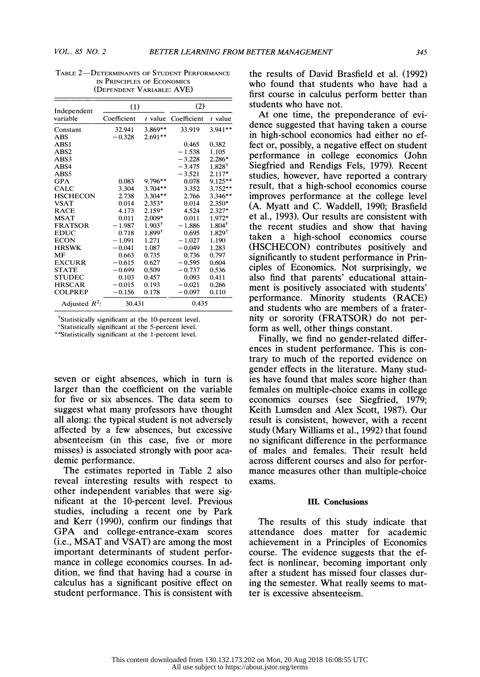| Independent      | (1)         |                    | (2)         |             |  |
|------------------|-------------|--------------------|-------------|-------------|--|
| variable         | Coefficient | t value            | Coefficient | $t$ value   |  |
| Constant         | 32.941      | 3.869**            | 33.919      | $3.941**$   |  |
| ABS              | $-0.328$    | $2.691**$          |             |             |  |
| ABS1             |             |                    | 0.465       | 0.382       |  |
| ABS <sub>2</sub> |             |                    | $-1.538$    | 1.105       |  |
| ABS3             |             |                    | $-3.228$    | $2.286*$    |  |
| ABS4             |             |                    | $-3.475$    | $1.828^+$   |  |
| ABS5             |             |                    | $-3.521$    | $2.117*$    |  |
| <b>GPA</b>       | 0.083       | $9.796**$          | 0.078       | $9.125**$   |  |
| CALC             | 3.304       | $3.704**$          | 3.352       | $3.752**$   |  |
| <b>HSCHECON</b>  | 2.738       | $3.304**$          | 2.766       | $3.346**$   |  |
| <b>VSAT</b>      | 0.014       | $2.353*$           | 0.014       | $2.350*$    |  |
| RACE             | 4.173       | $2.159*$           | 4.524       | $2.327*$    |  |
| <b>MSAT</b>      | 0.011       | 2.009*             | 0.011       | 1.972*      |  |
| <b>FRATSOR</b>   | $-1.987$    | 1.903 <sup>†</sup> | $-1.886$    | $1.804^{+}$ |  |
| EDUC             | 0.718       | 1.899†             | 0.695       | $1.829^+$   |  |
| ECON             | $-1.091$    | 1.271              | $-1.027$    | 1.190       |  |
| <b>HRSWK</b>     | $-0.041$    | 1.087              | $-0.049$    | 1.283       |  |
| МF               | 0.663       | 0.735              | 0.736       | 0.797       |  |
| <b>EXCURR</b>    | $-0.615$    | 0.627              | $-0.595$    | 0.604       |  |
| <b>STATE</b>     | $-0.699$    | 0.509              | $-0.737$    | 0.536       |  |
| <b>STUDEC</b>    | 0.103       | 0.457              | 0.093       | 0.411       |  |
| <b>HRSCAR</b>    | $-0.015$    | 0.193              | $-0.021$    | 0.266       |  |
| <b>COLPREP</b>   | $-0.156$    | 0.178              | $-0.097$    | 0.110       |  |
| Adjusted $R^2$ : |             | 30.431             |             | 0.435       |  |

TABLE 2-DETERMINANTS OF STUDENT PERFORMANCE IN PRINCIPLES OF ECONOMICS (DEPENDENT VARIABLE: AVE)

'Statistically significant at the 5-percent level.

\*\*Statistically significant at the 1-percent level.

 seven or eight absences, which in turn is larger than the coefficient on the variable for five or six absences. The data seem to suggest what many professors have thought all along: the typical student is not adversely affected by a few absences, but excessive absenteeism (in this case, five or more misses) is associated strongly with poor aca demic performance.

 The estimates reported in Table 2 also reveal interesting results with respect to other independent variables that were sig nifrcant at the 10-percent level. Previous studies, including a recent one by Park and Kerr (1990), confirm our findings that GPA and college-entrance-exam scores (i.e., MSAT and VSAT) are among the most important determinants of student perfor mance in college economics courses. In ad dition, we find that having had a course in calculus has a significant positive effect on student performance. This is consistent with

 the results of David Brasfield et al. (1992) who found that students who have had a first course in calculus perform better than students who have not.

<sup>†</sup>Statistically significant at the 10-percent level. **nity or sorority (FRATSOR)** do not per- At one time, the preponderance of evi dence suggested that having taken a course in high-school economics had either no ef fect or, possibly, a negative effect on student performance in college economics (John Siegfried and Rendigs Fels, 1979). Recent studies, however, have reported a contrary result, that a high-school economics course improves performance at the college level (A. Myatt and C. Waddell, 1990; Brasfield et al., 1993). Our results are consistent with the recent studies and show that having taken a high-school economics course (HSCHECON) contributes positively and significantly to student performance in Prin ciples of Economics. Not surprisingly, we also find that parents' educational attain ment is positively associated with students' performance. Minority students (RACE) and students who are members of a frater form as well, other things constant.

> Finally, we find no gender-related differ ences in student performance. This is con trary to much of the reported evidence on gender effects in the literature. Many stud ies have found that males score higher than females on multiple-choice exams in college economics courses (see Siegfried, 1979; Keith Lumsden and Alex Scott, 1987). Our result is consistent, however, with a recent study (Mary Williams et al., 1992) that found no significant difference in the performance of males and females. Their result held across different courses and also for perfor mance measures other than multiple-choice exams.

#### III. Conclusions

 The results of this study indicate that attendance does matter for academic achievement in a Principles of Economics course. The evidence suggests that the ef fect is nonlinear, becoming important only after a student has missed four classes dur ing the semester. What really seems to mat ter is excessive absenteeism.